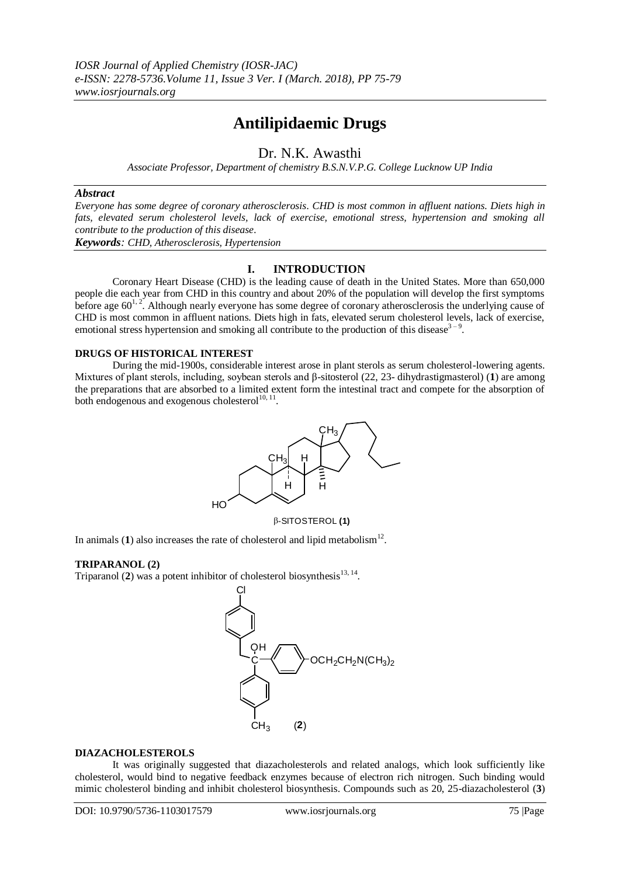# **Antilipidaemic Drugs**

## Dr. N.K. Awasthi

*Associate Professor, Department of chemistry B.S.N.V.P.G. College Lucknow UP India*

#### *Abstract*

*Everyone has some degree of coronary atherosclerosis. CHD is most common in affluent nations. Diets high in fats, elevated serum cholesterol levels, lack of exercise, emotional stress, hypertension and smoking all contribute to the production of this disease.*

*Keywords: CHD, Atherosclerosis, Hypertension*

### **I. INTRODUCTION**

Coronary Heart Disease (CHD) is the leading cause of death in the United States. More than 650,000 people die each year from CHD in this country and about 20% of the population will develop the first symptoms before age  $60^{1,2}$ . Although nearly everyone has some degree of coronary atherosclerosis the underlying cause of CHD is most common in affluent nations. Diets high in fats, elevated serum cholesterol levels, lack of exercise, emotional stress hypertension and smoking all contribute to the production of this disease<sup>3-9</sup>.

#### **DRUGS OF HISTORICAL INTEREST**

During the mid-1900s, considerable interest arose in plant sterols as serum cholesterol-lowering agents. Mixtures of plant sterols, including, soybean sterols and β-sitosterol (22, 23- dihydrastigmasterol) (**1**) are among the preparations that are absorbed to a limited extent form the intestinal tract and compete for the absorption of both endogenous and exogenous cholesterol $^{10, 11}$ .



-SITOSTEROL **(1)**

In animals  $(1)$  also increases the rate of cholesterol and lipid metabolism<sup>12</sup>.

#### **TRIPARANOL (2)**

Triparanol  $(2)$  was a potent inhibitor of cholesterol biosynthesis<sup>13, 14</sup>.



#### **DIAZACHOLESTEROLS**

It was originally suggested that diazacholesterols and related analogs, which look sufficiently like cholesterol, would bind to negative feedback enzymes because of electron rich nitrogen. Such binding would mimic cholesterol binding and inhibit cholesterol biosynthesis. Compounds such as 20, 25-diazacholesterol (**3**)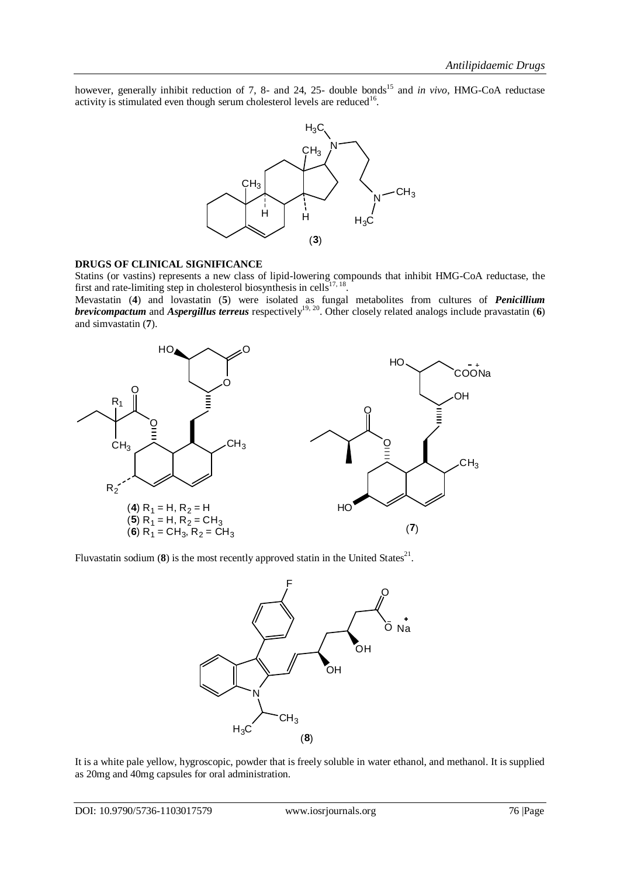however, generally inhibit reduction of 7, 8- and 24, 25- double bonds<sup>15</sup> and *in vivo*, HMG-CoA reductase activity is stimulated even though serum cholesterol levels are reduced<sup>16</sup>.



#### **DRUGS OF CLINICAL SIGNIFICANCE**

Statins (or vastins) represents a new class of lipid-lowering compounds that inhibit HMG-CoA reductase, the first and rate-limiting step in cholesterol biosynthesis in cells $17, 18$ .

Mevastatin (**4**) and lovastatin (**5**) were isolated as fungal metabolites from cultures of *Penicillium brevicompactum* and *Aspergillus terreus* respectively<sup>19, 20</sup>. Other closely related analogs include pravastatin (6) and simvastatin (**7**).



Fluvastatin sodium  $(8)$  is the most recently approved statin in the United States<sup>21</sup>.



It is a white pale yellow, hygroscopic, powder that is freely soluble in water ethanol, and methanol. It is supplied as 20mg and 40mg capsules for oral administration.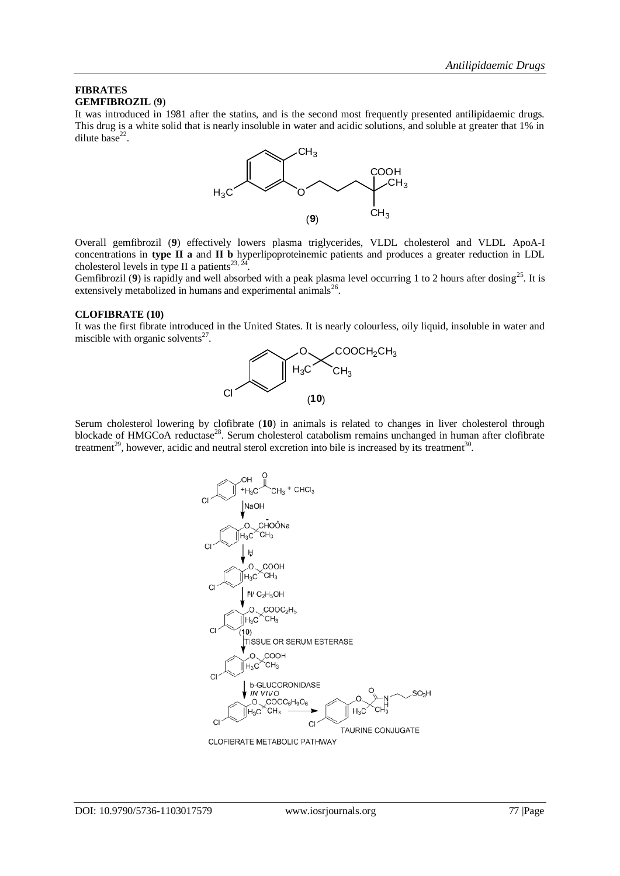#### **FIBRATES GEMFIBROZIL** (**9**)

It was introduced in 1981 after the statins, and is the second most frequently presented antilipidaemic drugs. This drug is a white solid that is nearly insoluble in water and acidic solutions, and soluble at greater that 1% in dilute base $^{22}$ .



Overall gemfibrozil (**9**) effectively lowers plasma triglycerides, VLDL cholesterol and VLDL ApoA-I concentrations in **type II a** and **II b** hyperlipoproteinemic patients and produces a greater reduction in LDL cholesterol levels in type II a patients<sup>23, 2</sup> .

Gemfibrozil (9) is rapidly and well absorbed with a peak plasma level occurring 1 to 2 hours after dosing<sup>25</sup>. It is extensively metabolized in humans and experimental animals $^{26}$ .

#### **CLOFIBRATE (10)**

It was the first fibrate introduced in the United States. It is nearly colourless, oily liquid, insoluble in water and miscible with organic solvents $27$ .



Serum cholesterol lowering by clofibrate (**10**) in animals is related to changes in liver cholesterol through blockade of HMGCoA reductase<sup>28</sup>. Serum cholesterol catabolism remains unchanged in human after clofibrate treatment<sup>29</sup>, however, acidic and neutral sterol excretion into bile is increased by its treatment<sup>30</sup>.



CLOFIBRATE METABOLIC PATHWAY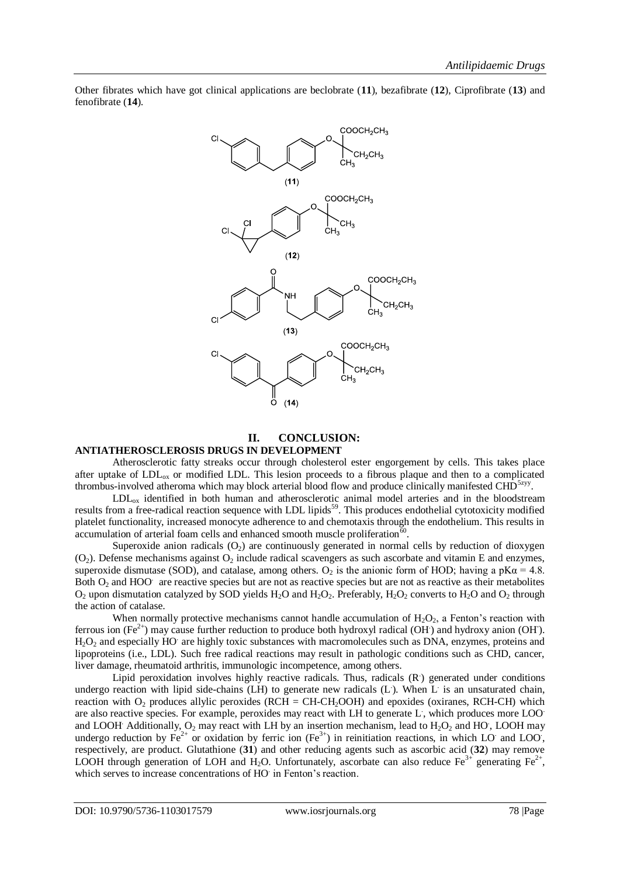

Other fibrates which have got clinical applications are beclobrate (**11**), bezafibrate (**12**), Ciprofibrate (**13**) and fenofibrate (**14**).

## **II. CONCLUSION:**

#### **ANTIATHEROSCLEROSIS DRUGS IN DEVELOPMENT**

Atherosclerotic fatty streaks occur through cholesterol ester engorgement by cells. This takes place after uptake of  $LDL<sub>ox</sub>$  or modified LDL. This lesion proceeds to a fibrous plaque and then to a complicated thrombus-involved atheroma which may block arterial blood flow and produce clinically manifested CHD<sup>5zyy</sup>.

LDLox identified in both human and atherosclerotic animal model arteries and in the bloodstream results from a free-radical reaction sequence with LDL lipids<sup>59</sup>. This produces endothelial cytotoxicity modified platelet functionality, increased monocyte adherence to and chemotaxis through the endothelium. This results in accumulation of arterial foam cells and enhanced smooth muscle proliferation  $60$ .

Superoxide anion radicals  $(O_2)$  are continuously generated in normal cells by reduction of dioxygen  $(O<sub>2</sub>)$ . Defense mechanisms against  $O<sub>2</sub>$  include radical scavengers as such ascorbate and vitamin E and enzymes, superoxide dismutase (SOD), and catalase, among others.  $O_2$  is the anionic form of HOD; having a pK $\alpha$  = 4.8. Both  $O_2$  and HOO are reactive species but are not as reactive species but are not as reactive as their metabolites  $O_2$  upon dismutation catalyzed by SOD yields H<sub>2</sub>O and H<sub>2</sub>O<sub>2</sub>. Preferably, H<sub>2</sub>O<sub>2</sub> converts to H<sub>2</sub>O and O<sub>2</sub> through the action of catalase.

When normally protective mechanisms cannot handle accumulation of  $H_2O_2$ , a Fenton's reaction with ferrous ion (Fe<sup>2+</sup>) may cause further reduction to produce both hydroxyl radical (OH $\cdot$ ) and hydroxy anion (OH $\cdot$ ). H<sub>2</sub>O<sub>2</sub> and especially HO are highly toxic substances with macromolecules such as DNA, enzymes, proteins and lipoproteins (i.e., LDL). Such free radical reactions may result in pathologic conditions such as CHD, cancer, liver damage, rheumatoid arthritis, immunologic incompetence, among others.

Lipid peroxidation involves highly reactive radicals. Thus, radicals (R) generated under conditions undergo reaction with lipid side-chains (LH) to generate new radicals (L). When L is an unsaturated chain, reaction with  $O_2$  produces allylic peroxides (RCH = CH-CH<sub>2</sub>OOH) and epoxides (oxiranes, RCH-CH) which are also reactive species. For example, peroxides may react with LH to generate L, which produces more LOO and LOOH Additionally,  $O_2$  may react with LH by an insertion mechanism, lead to  $H_2O_2$  and HO, LOOH may undergo reduction by  $Fe^{2+}$  or oxidation by ferric ion  $(Fe^{3+})$  in reinitiation reactions, in which LO and LOO, respectively, are product. Glutathione (**31**) and other reducing agents such as ascorbic acid (**32**) may remove LOOH through generation of LOH and H<sub>2</sub>O. Unfortunately, ascorbate can also reduce Fe<sup>3+</sup> generating Fe<sup>2+</sup>, which serves to increase concentrations of HO in Fenton's reaction.